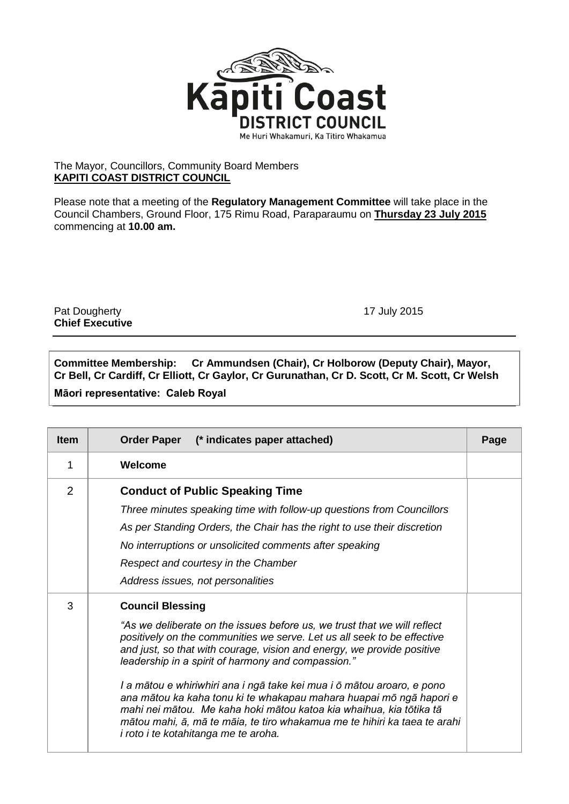

## The Mayor, Councillors, Community Board Members **KAPITI COAST DISTRICT COUNCIL**

Please note that a meeting of the **Regulatory Management Committee** will take place in the Council Chambers, Ground Floor, 175 Rimu Road, Paraparaumu on **Thursday 23 July 2015** commencing at **10.00 am.**

Pat Dougherty 17 July 2015 **Chief Executive**

**Committee Membership: Cr Ammundsen (Chair), Cr Holborow (Deputy Chair), Mayor, Cr Bell, Cr Cardiff, Cr Elliott, Cr Gaylor, Cr Gurunathan, Cr D. Scott, Cr M. Scott, Cr Welsh Māori representative: Caleb Royal**

| <b>Item</b> | Order Paper (* indicates paper attached)                                                                                                                                                                                                                                                                                                                                                                                                                                                                                                                                                                                                                    | Page |
|-------------|-------------------------------------------------------------------------------------------------------------------------------------------------------------------------------------------------------------------------------------------------------------------------------------------------------------------------------------------------------------------------------------------------------------------------------------------------------------------------------------------------------------------------------------------------------------------------------------------------------------------------------------------------------------|------|
| 1           | Welcome                                                                                                                                                                                                                                                                                                                                                                                                                                                                                                                                                                                                                                                     |      |
| 2           | <b>Conduct of Public Speaking Time</b><br>Three minutes speaking time with follow-up questions from Councillors<br>As per Standing Orders, the Chair has the right to use their discretion<br>No interruptions or unsolicited comments after speaking<br>Respect and courtesy in the Chamber<br>Address issues, not personalities                                                                                                                                                                                                                                                                                                                           |      |
| 3           | <b>Council Blessing</b><br>"As we deliberate on the issues before us, we trust that we will reflect<br>positively on the communities we serve. Let us all seek to be effective<br>and just, so that with courage, vision and energy, we provide positive<br>leadership in a spirit of harmony and compassion."<br>I a mātou e whiriwhiri ana i ngā take kei mua i ō mātou aroaro, e pono<br>ana mātou ka kaha tonu ki te whakapau mahara huapai mō ngā hapori e<br>mahi nei mātou. Me kaha hoki mātou katoa kia whaihua, kia tōtika tā<br>mātou mahi, ā, mā te māia, te tiro whakamua me te hihiri ka taea te arahi<br>i roto i te kotahitanga me te aroha. |      |